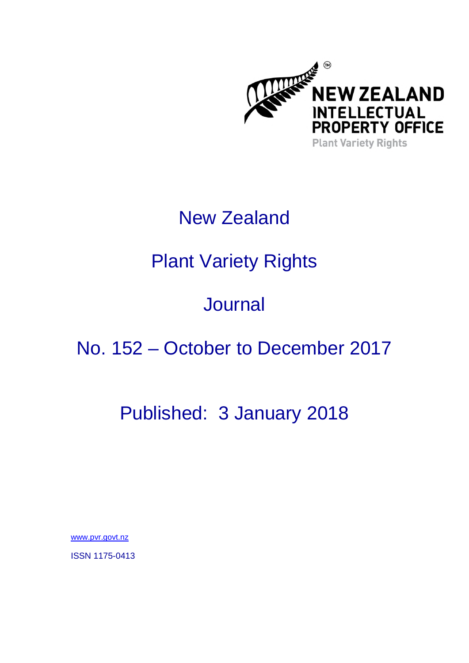

## New Zealand

# Plant Variety Rights

## **Journal**

## No. 152 – October to December 2017

## Published: 3 January 2018

www.pvr.govt.nz

ISSN 1175-0413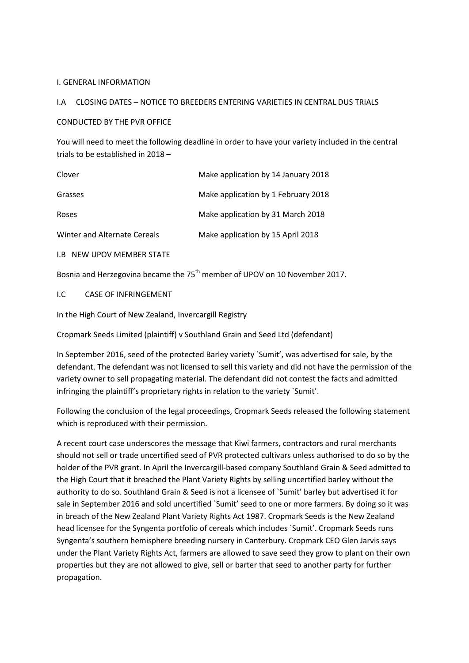#### I. GENERAL INFORMATION

#### I.A CLOSING DATES – NOTICE TO BREEDERS ENTERING VARIETIES IN CENTRAL DUS TRIALS

#### CONDUCTED BY THE PVR OFFICE

You will need to meet the following deadline in order to have your variety included in the central trials to be established in 2018 –

| Clover                       | Make application by 14 January 2018 |
|------------------------------|-------------------------------------|
| Grasses                      | Make application by 1 February 2018 |
| Roses                        | Make application by 31 March 2018   |
| Winter and Alternate Cereals | Make application by 15 April 2018   |

I.B NEW UPOV MEMBER STATE

Bosnia and Herzegovina became the 75<sup>th</sup> member of UPOV on 10 November 2017.

#### I.C CASE OF INFRINGEMENT

In the High Court of New Zealand, Invercargill Registry

Cropmark Seeds Limited (plaintiff) v Southland Grain and Seed Ltd (defendant)

In September 2016, seed of the protected Barley variety `Sumit', was advertised for sale, by the defendant. The defendant was not licensed to sell this variety and did not have the permission of the variety owner to sell propagating material. The defendant did not contest the facts and admitted infringing the plaintiff's proprietary rights in relation to the variety `Sumit'.

Following the conclusion of the legal proceedings, Cropmark Seeds released the following statement which is reproduced with their permission.

A recent court case underscores the message that Kiwi farmers, contractors and rural merchants should not sell or trade uncertified seed of PVR protected cultivars unless authorised to do so by the holder of the PVR grant. In April the Invercargill-based company Southland Grain & Seed admitted to the High Court that it breached the Plant Variety Rights by selling uncertified barley without the authority to do so. Southland Grain & Seed is not a licensee of `Sumit' barley but advertised it for sale in September 2016 and sold uncertified `Sumit' seed to one or more farmers. By doing so it was in breach of the New Zealand Plant Variety Rights Act 1987. Cropmark Seeds is the New Zealand head licensee for the Syngenta portfolio of cereals which includes `Sumit'. Cropmark Seeds runs Syngenta's southern hemisphere breeding nursery in Canterbury. Cropmark CEO Glen Jarvis says under the Plant Variety Rights Act, farmers are allowed to save seed they grow to plant on their own properties but they are not allowed to give, sell or barter that seed to another party for further propagation.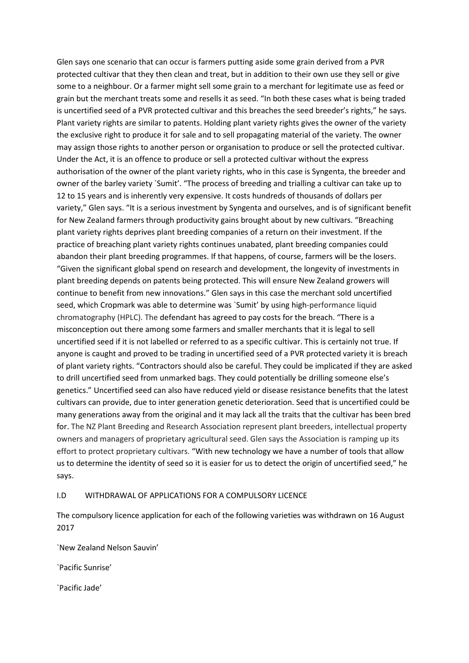Glen says one scenario that can occur is farmers putting aside some grain derived from a PVR protected cultivar that they then clean and treat, but in addition to their own use they sell or give some to a neighbour. Or a farmer might sell some grain to a merchant for legitimate use as feed or grain but the merchant treats some and resells it as seed. "In both these cases what is being traded is uncertified seed of a PVR protected cultivar and this breaches the seed breeder's rights," he says. Plant variety rights are similar to patents. Holding plant variety rights gives the owner of the variety the exclusive right to produce it for sale and to sell propagating material of the variety. The owner may assign those rights to another person or organisation to produce or sell the protected cultivar. Under the Act, it is an offence to produce or sell a protected cultivar without the express authorisation of the owner of the plant variety rights, who in this case is Syngenta, the breeder and owner of the barley variety `Sumit'. "The process of breeding and trialling a cultivar can take up to 12 to 15 years and is inherently very expensive. It costs hundreds of thousands of dollars per variety," Glen says. "It is a serious investment by Syngenta and ourselves, and is of significant benefit for New Zealand farmers through productivity gains brought about by new cultivars. "Breaching plant variety rights deprives plant breeding companies of a return on their investment. If the practice of breaching plant variety rights continues unabated, plant breeding companies could abandon their plant breeding programmes. If that happens, of course, farmers will be the losers. "Given the significant global spend on research and development, the longevity of investments in plant breeding depends on patents being protected. This will ensure New Zealand growers will continue to benefit from new innovations." Glen says in this case the merchant sold uncertified seed, which Cropmark was able to determine was `Sumit' by using high-performance liquid chromatography (HPLC). The defendant has agreed to pay costs for the breach. "There is a misconception out there among some farmers and smaller merchants that it is legal to sell uncertified seed if it is not labelled or referred to as a specific cultivar. This is certainly not true. If anyone is caught and proved to be trading in uncertified seed of a PVR protected variety it is breach of plant variety rights. "Contractors should also be careful. They could be implicated if they are asked to drill uncertified seed from unmarked bags. They could potentially be drilling someone else's genetics." Uncertified seed can also have reduced yield or disease resistance benefits that the latest cultivars can provide, due to inter generation genetic deterioration. Seed that is uncertified could be many generations away from the original and it may lack all the traits that the cultivar has been bred for. The NZ Plant Breeding and Research Association represent plant breeders, intellectual property owners and managers of proprietary agricultural seed. Glen says the Association is ramping up its effort to protect proprietary cultivars. "With new technology we have a number of tools that allow us to determine the identity of seed so it is easier for us to detect the origin of uncertified seed," he says.

#### I.D WITHDRAWAL OF APPLICATIONS FOR A COMPULSORY LICENCE

The compulsory licence application for each of the following varieties was withdrawn on 16 August 2017

`New Zealand Nelson Sauvin'

`Pacific Sunrise'

`Pacific Jade'